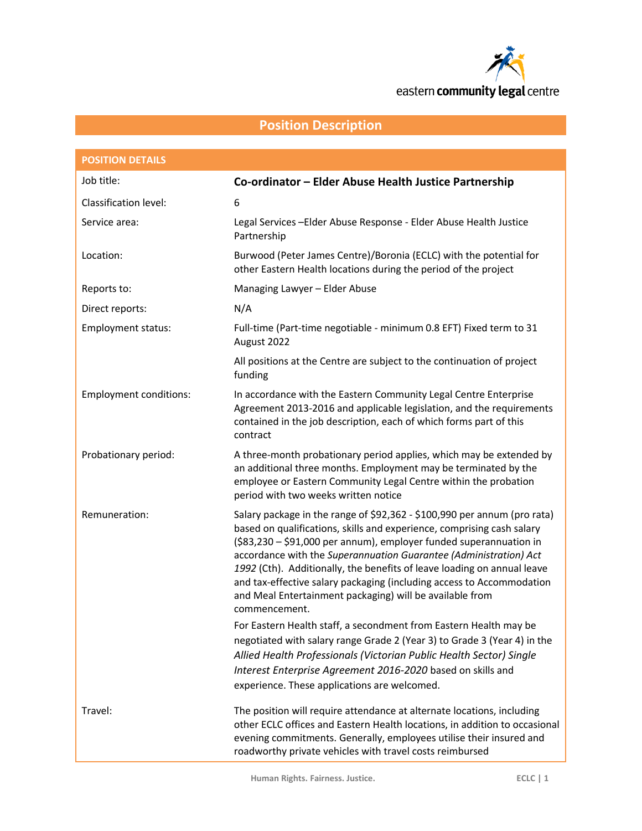

# **Position Description**

| <b>POSITION DETAILS</b>       |                                                                                                                                                                                                                                                                                                                                                                                                                                                                                                                                                                                                     |
|-------------------------------|-----------------------------------------------------------------------------------------------------------------------------------------------------------------------------------------------------------------------------------------------------------------------------------------------------------------------------------------------------------------------------------------------------------------------------------------------------------------------------------------------------------------------------------------------------------------------------------------------------|
| Job title:                    | Co-ordinator – Elder Abuse Health Justice Partnership                                                                                                                                                                                                                                                                                                                                                                                                                                                                                                                                               |
| <b>Classification level:</b>  | 6                                                                                                                                                                                                                                                                                                                                                                                                                                                                                                                                                                                                   |
| Service area:                 | Legal Services-Elder Abuse Response - Elder Abuse Health Justice<br>Partnership                                                                                                                                                                                                                                                                                                                                                                                                                                                                                                                     |
| Location:                     | Burwood (Peter James Centre)/Boronia (ECLC) with the potential for<br>other Eastern Health locations during the period of the project                                                                                                                                                                                                                                                                                                                                                                                                                                                               |
| Reports to:                   | Managing Lawyer - Elder Abuse                                                                                                                                                                                                                                                                                                                                                                                                                                                                                                                                                                       |
| Direct reports:               | N/A                                                                                                                                                                                                                                                                                                                                                                                                                                                                                                                                                                                                 |
| <b>Employment status:</b>     | Full-time (Part-time negotiable - minimum 0.8 EFT) Fixed term to 31<br>August 2022                                                                                                                                                                                                                                                                                                                                                                                                                                                                                                                  |
|                               | All positions at the Centre are subject to the continuation of project<br>funding                                                                                                                                                                                                                                                                                                                                                                                                                                                                                                                   |
| <b>Employment conditions:</b> | In accordance with the Eastern Community Legal Centre Enterprise<br>Agreement 2013-2016 and applicable legislation, and the requirements<br>contained in the job description, each of which forms part of this<br>contract                                                                                                                                                                                                                                                                                                                                                                          |
| Probationary period:          | A three-month probationary period applies, which may be extended by<br>an additional three months. Employment may be terminated by the<br>employee or Eastern Community Legal Centre within the probation<br>period with two weeks written notice                                                                                                                                                                                                                                                                                                                                                   |
| Remuneration:                 | Salary package in the range of \$92,362 - \$100,990 per annum (pro rata)<br>based on qualifications, skills and experience, comprising cash salary<br>(\$83,230 - \$91,000 per annum), employer funded superannuation in<br>accordance with the Superannuation Guarantee (Administration) Act<br>1992 (Cth). Additionally, the benefits of leave loading on annual leave<br>and tax-effective salary packaging (including access to Accommodation<br>and Meal Entertainment packaging) will be available from<br>commencement.<br>For Eastern Health staff, a secondment from Eastern Health may be |
|                               | negotiated with salary range Grade 2 (Year 3) to Grade 3 (Year 4) in the<br>Allied Health Professionals (Victorian Public Health Sector) Single<br>Interest Enterprise Agreement 2016-2020 based on skills and<br>experience. These applications are welcomed.                                                                                                                                                                                                                                                                                                                                      |
| Travel:                       | The position will require attendance at alternate locations, including<br>other ECLC offices and Eastern Health locations, in addition to occasional<br>evening commitments. Generally, employees utilise their insured and<br>roadworthy private vehicles with travel costs reimbursed                                                                                                                                                                                                                                                                                                             |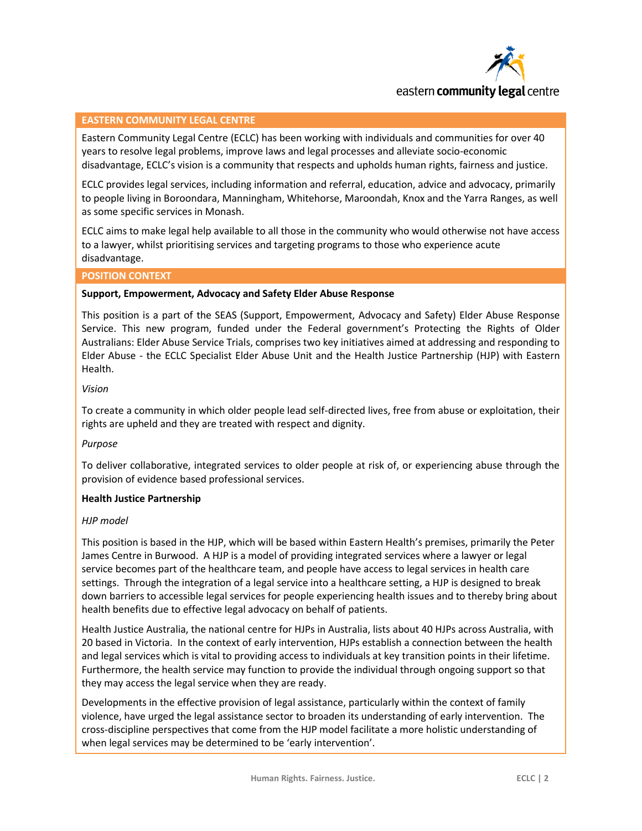

#### **EASTERN COMMUNITY LEGAL CENTRE**

Eastern Community Legal Centre (ECLC) has been working with individuals and communities for over 40 years to resolve legal problems, improve laws and legal processes and alleviate socio-economic disadvantage, ECLC's vision is a community that respects and upholds human rights, fairness and justice.

ECLC provides legal services, including information and referral, education, advice and advocacy, primarily to people living in Boroondara, Manningham, Whitehorse, Maroondah, Knox and the Yarra Ranges, as well as some specific services in Monash.

ECLC aims to make legal help available to all those in the community who would otherwise not have access to a lawyer, whilst prioritising services and targeting programs to those who experience acute disadvantage.

#### **POSITION CONTEXT**

#### **Support, Empowerment, Advocacy and Safety Elder Abuse Response**

This position is a part of the SEAS (Support, Empowerment, Advocacy and Safety) Elder Abuse Response Service. This new program, funded under the Federal government's Protecting the Rights of Older Australians: Elder Abuse Service Trials, comprises two key initiatives aimed at addressing and responding to Elder Abuse - the ECLC Specialist Elder Abuse Unit and the Health Justice Partnership (HJP) with Eastern Health.

#### *Vision*

To create a community in which older people lead self-directed lives, free from abuse or exploitation, their rights are upheld and they are treated with respect and dignity.

#### *Purpose*

To deliver collaborative, integrated services to older people at risk of, or experiencing abuse through the provision of evidence based professional services.

#### **Health Justice Partnership**

#### *HJP model*

This position is based in the HJP, which will be based within Eastern Health's premises, primarily the Peter James Centre in Burwood. A HJP is a model of providing integrated services where a lawyer or legal service becomes part of the healthcare team, and people have access to legal services in health care settings. Through the integration of a legal service into a healthcare setting, a HJP is designed to break down barriers to accessible legal services for people experiencing health issues and to thereby bring about health benefits due to effective legal advocacy on behalf of patients.

Health Justice Australia, the national centre for HJPs in Australia, lists about 40 HJPs across Australia, with 20 based in Victoria. In the context of early intervention, HJPs establish a connection between the health and legal services which is vital to providing access to individuals at key transition points in their lifetime. Furthermore, the health service may function to provide the individual through ongoing support so that they may access the legal service when they are ready.

Developments in the effective provision of legal assistance, particularly within the context of family violence, have urged the legal assistance sector to broaden its understanding of early intervention. The cross-discipline perspectives that come from the HJP model facilitate a more holistic understanding of when legal services may be determined to be 'early intervention'.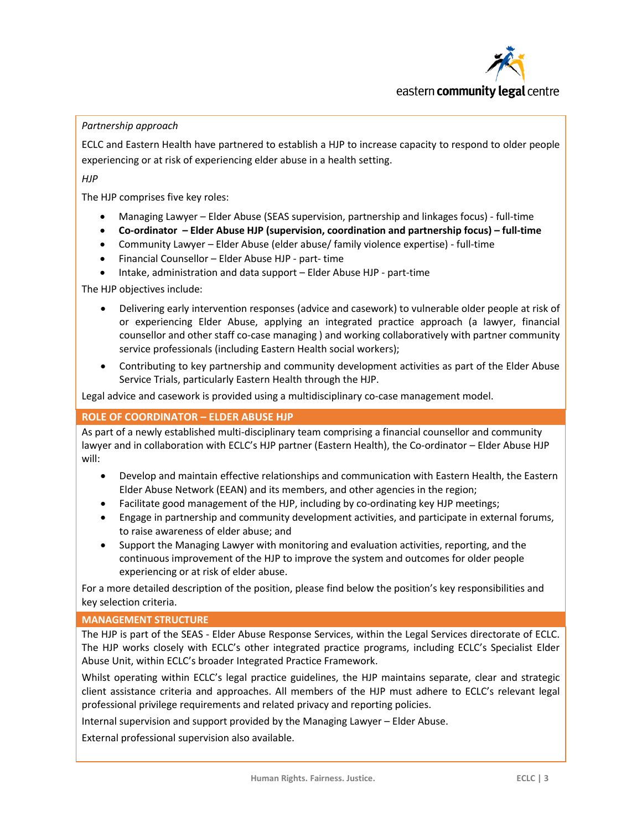

### *Partnership approach*

ECLC and Eastern Health have partnered to establish a HJP to increase capacity to respond to older people experiencing or at risk of experiencing elder abuse in a health setting.

*HJP*

The HJP comprises five key roles:

- Managing Lawyer Elder Abuse (SEAS supervision, partnership and linkages focus) full-time
- **Co-ordinator – Elder Abuse HJP (supervision, coordination and partnership focus) – full-time**
- Community Lawyer Elder Abuse (elder abuse/ family violence expertise) full-time
- Financial Counsellor Elder Abuse HJP part- time
- Intake, administration and data support Elder Abuse HJP part-time

The HJP objectives include:

- Delivering early intervention responses (advice and casework) to vulnerable older people at risk of or experiencing Elder Abuse, applying an integrated practice approach (a lawyer, financial counsellor and other staff co-case managing ) and working collaboratively with partner community service professionals (including Eastern Health social workers);
- Contributing to key partnership and community development activities as part of the Elder Abuse Service Trials, particularly Eastern Health through the HJP.

Legal advice and casework is provided using a multidisciplinary co-case management model.

### **ROLE OF COORDINATOR – ELDER ABUSE HJP**

As part of a newly established multi-disciplinary team comprising a financial counsellor and community lawyer and in collaboration with ECLC's HJP partner (Eastern Health), the Co-ordinator – Elder Abuse HJP will:

- Develop and maintain effective relationships and communication with Eastern Health, the Eastern Elder Abuse Network (EEAN) and its members, and other agencies in the region;
- Facilitate good management of the HJP, including by co-ordinating key HJP meetings;
- Engage in partnership and community development activities, and participate in external forums, to raise awareness of elder abuse; and
- Support the Managing Lawyer with monitoring and evaluation activities, reporting, and the continuous improvement of the HJP to improve the system and outcomes for older people experiencing or at risk of elder abuse.

For a more detailed description of the position, please find below the position's key responsibilities and key selection criteria.

#### **MANAGEMENT STRUCTURE**

The HJP is part of the SEAS - Elder Abuse Response Services, within the Legal Services directorate of ECLC. The HJP works closely with ECLC's other integrated practice programs, including ECLC's Specialist Elder Abuse Unit, within ECLC's broader Integrated Practice Framework.

Whilst operating within ECLC's legal practice guidelines, the HJP maintains separate, clear and strategic client assistance criteria and approaches. All members of the HJP must adhere to ECLC's relevant legal professional privilege requirements and related privacy and reporting policies.

Internal supervision and support provided by the Managing Lawyer – Elder Abuse.

External professional supervision also available.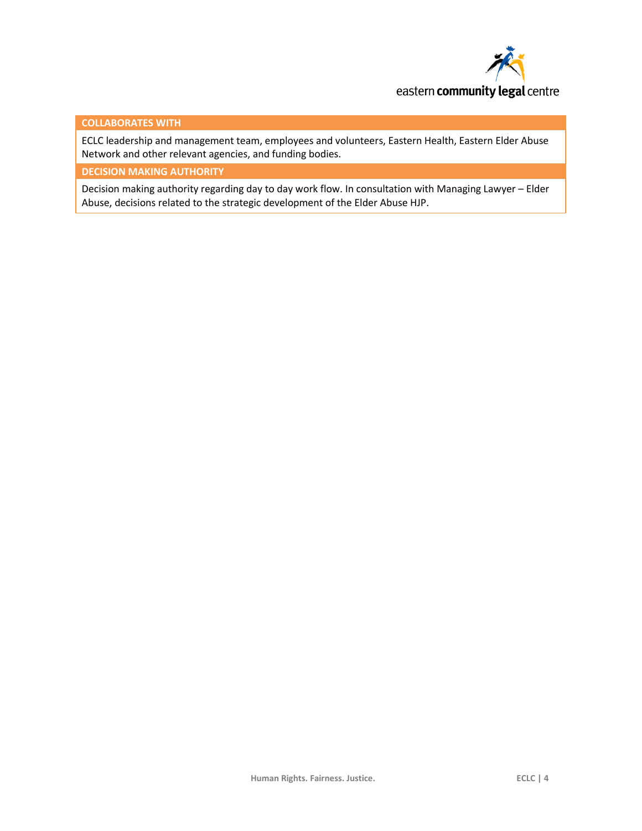

#### **COLLABORATES WITH**

ECLC leadership and management team, employees and volunteers, Eastern Health, Eastern Elder Abuse Network and other relevant agencies, and funding bodies.

**DECISION MAKING AUTHORITY**

Decision making authority regarding day to day work flow. In consultation with Managing Lawyer – Elder Abuse, decisions related to the strategic development of the Elder Abuse HJP.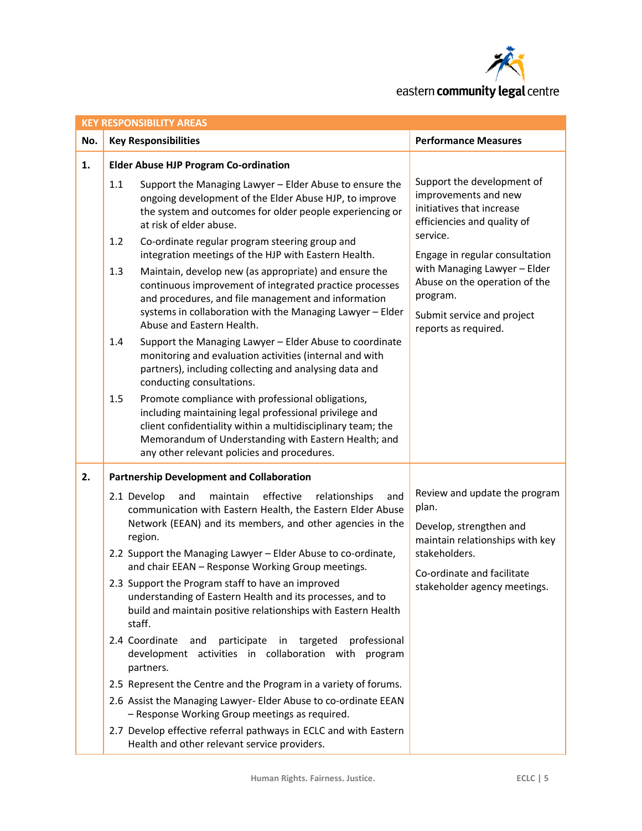

|     | <b>KEY RESPONSIBILITY AREAS</b>                                                                                                                                                                                                                                                                                                 |                                                                                                                                                                                                                                                                                   |                                                                                                                |  |  |  |
|-----|---------------------------------------------------------------------------------------------------------------------------------------------------------------------------------------------------------------------------------------------------------------------------------------------------------------------------------|-----------------------------------------------------------------------------------------------------------------------------------------------------------------------------------------------------------------------------------------------------------------------------------|----------------------------------------------------------------------------------------------------------------|--|--|--|
| No. |                                                                                                                                                                                                                                                                                                                                 | <b>Key Responsibilities</b>                                                                                                                                                                                                                                                       | <b>Performance Measures</b>                                                                                    |  |  |  |
| 1.  | <b>Elder Abuse HJP Program Co-ordination</b>                                                                                                                                                                                                                                                                                    |                                                                                                                                                                                                                                                                                   |                                                                                                                |  |  |  |
|     | 1.1                                                                                                                                                                                                                                                                                                                             | Support the Managing Lawyer - Elder Abuse to ensure the<br>ongoing development of the Elder Abuse HJP, to improve<br>the system and outcomes for older people experiencing or<br>at risk of elder abuse.                                                                          | Support the development of<br>improvements and new<br>initiatives that increase<br>efficiencies and quality of |  |  |  |
|     | 1.2                                                                                                                                                                                                                                                                                                                             | Co-ordinate regular program steering group and<br>integration meetings of the HJP with Eastern Health.                                                                                                                                                                            | service.<br>Engage in regular consultation                                                                     |  |  |  |
|     | 1.3                                                                                                                                                                                                                                                                                                                             | Maintain, develop new (as appropriate) and ensure the<br>continuous improvement of integrated practice processes<br>and procedures, and file management and information                                                                                                           | with Managing Lawyer - Elder<br>Abuse on the operation of the<br>program.                                      |  |  |  |
|     |                                                                                                                                                                                                                                                                                                                                 | systems in collaboration with the Managing Lawyer - Elder<br>Abuse and Eastern Health.                                                                                                                                                                                            | Submit service and project<br>reports as required.                                                             |  |  |  |
|     | 1.4                                                                                                                                                                                                                                                                                                                             | Support the Managing Lawyer - Elder Abuse to coordinate<br>monitoring and evaluation activities (internal and with<br>partners), including collecting and analysing data and<br>conducting consultations.                                                                         |                                                                                                                |  |  |  |
|     | 1.5                                                                                                                                                                                                                                                                                                                             | Promote compliance with professional obligations,<br>including maintaining legal professional privilege and<br>client confidentiality within a multidisciplinary team; the<br>Memorandum of Understanding with Eastern Health; and<br>any other relevant policies and procedures. |                                                                                                                |  |  |  |
| 2.  | <b>Partnership Development and Collaboration</b>                                                                                                                                                                                                                                                                                |                                                                                                                                                                                                                                                                                   |                                                                                                                |  |  |  |
|     | 2.1 Develop<br>maintain<br>effective<br>relationships<br>and<br>and<br>communication with Eastern Health, the Eastern Elder Abuse<br>Network (EEAN) and its members, and other agencies in the<br>region.<br>2.2 Support the Managing Lawyer - Elder Abuse to co-ordinate,<br>and chair EEAN - Response Working Group meetings. |                                                                                                                                                                                                                                                                                   | Review and update the program<br>plan.<br>Develop, strengthen and<br>maintain relationships with key           |  |  |  |
|     |                                                                                                                                                                                                                                                                                                                                 |                                                                                                                                                                                                                                                                                   | stakeholders.                                                                                                  |  |  |  |
|     |                                                                                                                                                                                                                                                                                                                                 | 2.3 Support the Program staff to have an improved<br>understanding of Eastern Health and its processes, and to<br>build and maintain positive relationships with Eastern Health<br>staff.                                                                                         | Co-ordinate and facilitate<br>stakeholder agency meetings.                                                     |  |  |  |
|     |                                                                                                                                                                                                                                                                                                                                 | 2.4 Coordinate<br>professional<br>participate in<br>targeted<br>and<br>development activities in collaboration with program<br>partners.                                                                                                                                          |                                                                                                                |  |  |  |
|     |                                                                                                                                                                                                                                                                                                                                 | 2.5 Represent the Centre and the Program in a variety of forums.                                                                                                                                                                                                                  |                                                                                                                |  |  |  |
|     |                                                                                                                                                                                                                                                                                                                                 | 2.6 Assist the Managing Lawyer- Elder Abuse to co-ordinate EEAN<br>- Response Working Group meetings as required.                                                                                                                                                                 |                                                                                                                |  |  |  |
|     |                                                                                                                                                                                                                                                                                                                                 | 2.7 Develop effective referral pathways in ECLC and with Eastern<br>Health and other relevant service providers.                                                                                                                                                                  |                                                                                                                |  |  |  |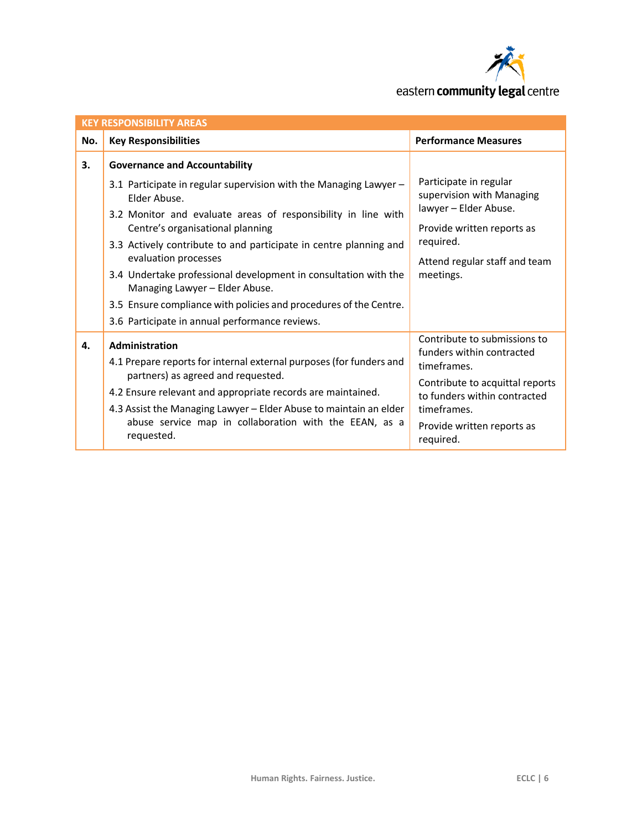

| <b>KEY RESPONSIBILITY AREAS</b> |                                                                                                                                                                                                                                                |                                                                                                                           |  |  |
|---------------------------------|------------------------------------------------------------------------------------------------------------------------------------------------------------------------------------------------------------------------------------------------|---------------------------------------------------------------------------------------------------------------------------|--|--|
| No.                             | <b>Key Responsibilities</b>                                                                                                                                                                                                                    | <b>Performance Measures</b>                                                                                               |  |  |
| 3.                              | <b>Governance and Accountability</b>                                                                                                                                                                                                           |                                                                                                                           |  |  |
|                                 | 3.1 Participate in regular supervision with the Managing Lawyer -<br>Elder Abuse.<br>3.2 Monitor and evaluate areas of responsibility in line with<br>Centre's organisational planning                                                         | Participate in regular<br>supervision with Managing<br>lawyer - Elder Abuse.<br>Provide written reports as                |  |  |
|                                 | 3.3 Actively contribute to and participate in centre planning and<br>evaluation processes                                                                                                                                                      | required.<br>Attend regular staff and team                                                                                |  |  |
|                                 | 3.4 Undertake professional development in consultation with the<br>Managing Lawyer - Elder Abuse.                                                                                                                                              | meetings.                                                                                                                 |  |  |
|                                 | 3.5 Ensure compliance with policies and procedures of the Centre.                                                                                                                                                                              |                                                                                                                           |  |  |
|                                 | 3.6 Participate in annual performance reviews.                                                                                                                                                                                                 |                                                                                                                           |  |  |
| 4.                              | Administration<br>4.1 Prepare reports for internal external purposes (for funders and                                                                                                                                                          | Contribute to submissions to<br>funders within contracted<br>timeframes.                                                  |  |  |
|                                 | partners) as agreed and requested.<br>4.2 Ensure relevant and appropriate records are maintained.<br>4.3 Assist the Managing Lawyer - Elder Abuse to maintain an elder<br>abuse service map in collaboration with the EEAN, as a<br>requested. | Contribute to acquittal reports<br>to funders within contracted<br>timeframes.<br>Provide written reports as<br>required. |  |  |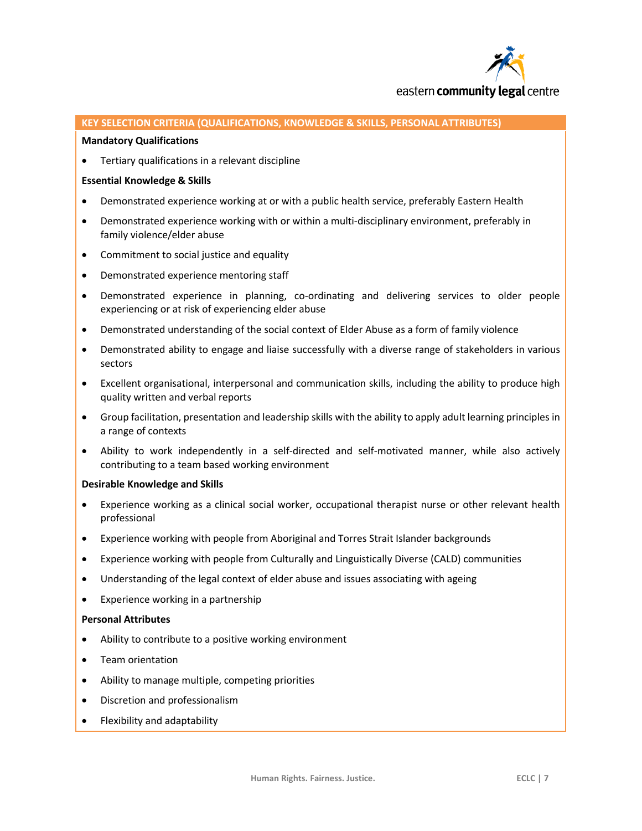

#### **KEY SELECTION CRITERIA (QUALIFICATIONS, KNOWLEDGE & SKILLS, PERSONAL ATTRIBUTES)**

#### **Mandatory Qualifications**

Tertiary qualifications in a relevant discipline

#### **Essential Knowledge & Skills**

- Demonstrated experience working at or with a public health service, preferably Eastern Health
- Demonstrated experience working with or within a multi-disciplinary environment, preferably in family violence/elder abuse
- Commitment to social justice and equality
- Demonstrated experience mentoring staff
- Demonstrated experience in planning, co-ordinating and delivering services to older people experiencing or at risk of experiencing elder abuse
- Demonstrated understanding of the social context of Elder Abuse as a form of family violence
- Demonstrated ability to engage and liaise successfully with a diverse range of stakeholders in various sectors
- Excellent organisational, interpersonal and communication skills, including the ability to produce high quality written and verbal reports
- Group facilitation, presentation and leadership skills with the ability to apply adult learning principles in a range of contexts
- Ability to work independently in a self-directed and self-motivated manner, while also actively contributing to a team based working environment

#### **Desirable Knowledge and Skills**

- Experience working as a clinical social worker, occupational therapist nurse or other relevant health professional
- Experience working with people from Aboriginal and Torres Strait Islander backgrounds
- Experience working with people from Culturally and Linguistically Diverse (CALD) communities
- Understanding of the legal context of elder abuse and issues associating with ageing
- Experience working in a partnership

#### **Personal Attributes**

- Ability to contribute to a positive working environment
- Team orientation
- Ability to manage multiple, competing priorities
- Discretion and professionalism
- Flexibility and adaptability